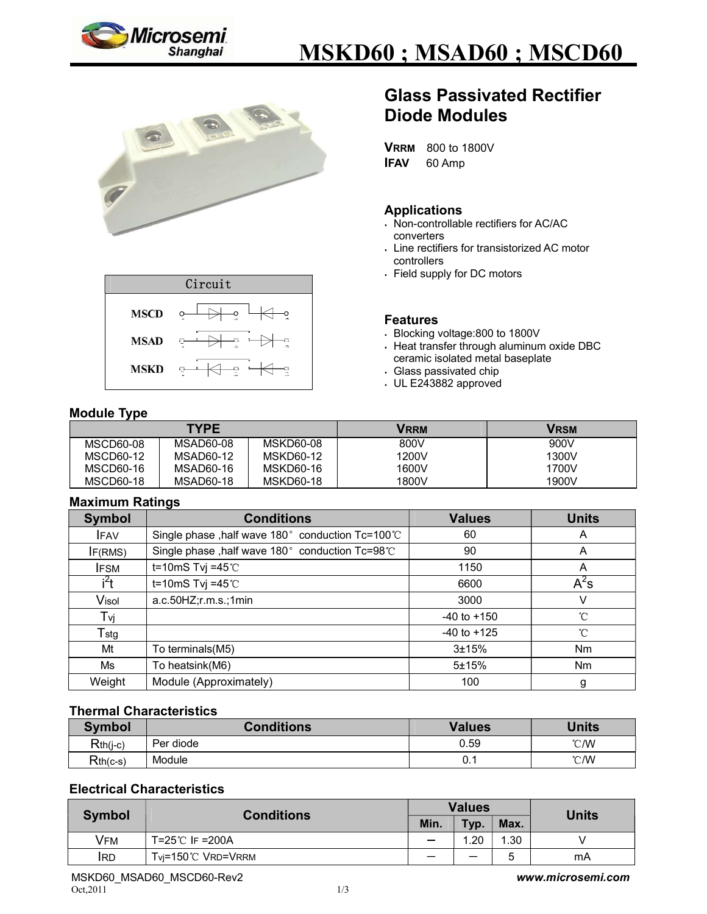

# **MSKD60 ; MSAD60 ; MSCD60**





# **Glass Passivated Rectifier Diode Modules**

**VRRM** 800 to 1800V **IFAV** 60 Amp

## **Applications**

- . Non-controllable rectifiers for AC/AC converters
- Line rectifiers for transistorized AC motor controllers
- Field supply for DC motors

#### **Features**

- Blocking voltage:800 to 1800V
- Heat transfer through aluminum oxide DBC ceramic isolated metal baseplate
- Glass passivated chip
- UL E243882 approved

# **Module Type**

| - -<br><b>TYPE</b> |           | Vrrm             | Vrsm  |       |
|--------------------|-----------|------------------|-------|-------|
| MSCD60-08          | MSAD60-08 | <b>MSKD60-08</b> | 800V  | 900V  |
| MSCD60-12          | MSAD60-12 | MSKD60-12        | 1200V | 1300V |
| MSCD60-16          | MSAD60-16 | MSKD60-16        | 1600V | 1700V |
| MSCD60-18          | MSAD60-18 | <b>MSKD60-18</b> | 1800V | 1900V |

## **Maximum Ratings**

| <b>Symbol</b>    | <b>Conditions</b>                                 | <b>Values</b>   | <b>Units</b>   |
|------------------|---------------------------------------------------|-----------------|----------------|
| <b>IFAV</b>      | Single phase , half wave 180° conduction Tc=100°C | 60              | A              |
| IF(RMS)          | Single phase, half wave 180° conduction Tc=98°C   | 90              | A              |
| <b>IFSM</b>      | t=10mS Tvj =45 $°C$                               | 1150            | A              |
| i <sup>2</sup> t | t=10mS Tvj =45 $°C$                               | 6600            | $A^2$ s        |
| Visol            | a.c.50HZ;r.m.s.;1min                              | 3000            | v              |
| Tvj              |                                                   | $-40$ to $+150$ | $^{\circ}$ C   |
| $T_{\rm stg}$    |                                                   | $-40$ to $+125$ | °C             |
| Mt               | To terminals(M5)                                  | $3 + 15%$       | N <sub>m</sub> |
| Ms               | To heatsink(M6)                                   | 5±15%           | Nm             |
| Weight           | Module (Approximately)                            | 100             | g              |

#### **Thermal Characteristics**

| <b>Symbol</b> | <b>Conditions</b> | <b>Values</b> | Units         |  |
|---------------|-------------------|---------------|---------------|--|
| $Rth(i-c)$    | Per diode         | 0.59          | $\degree$ C/W |  |
| $Rth(c-s)$    | Module            | n<br>υ. ι     | °C/W          |  |

# **Electrical Characteristics**

| <b>Symbol</b> | <b>Conditions</b>            | <b>Values</b>            |      |      | <b>Units</b> |
|---------------|------------------------------|--------------------------|------|------|--------------|
|               |                              | Min.                     | Typ. | Max. |              |
| Vfm           | T=25 <sup>°</sup> C IF =200A | $\overline{\phantom{m}}$ | .20  | 1.30 |              |
| <b>IRD</b>    | $T$ vi=150 °C VRD=VRRM       |                          |      | ∽    | mA           |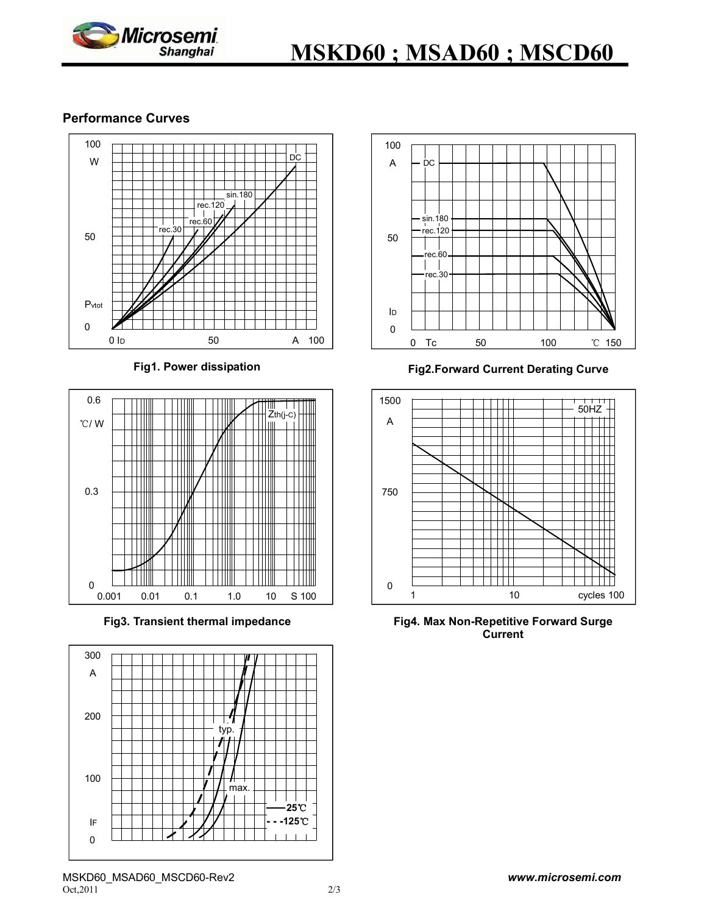

# **MSKD60 ; MSAD60 ; MSCD60**

## **Performance Curves**









**Fig1. Power dissipation Fig2.Forward Current Derating Curve** 



Fig3. Transient thermal impedance **Fig4. Max Non-Repetitive Forward Surge Current**